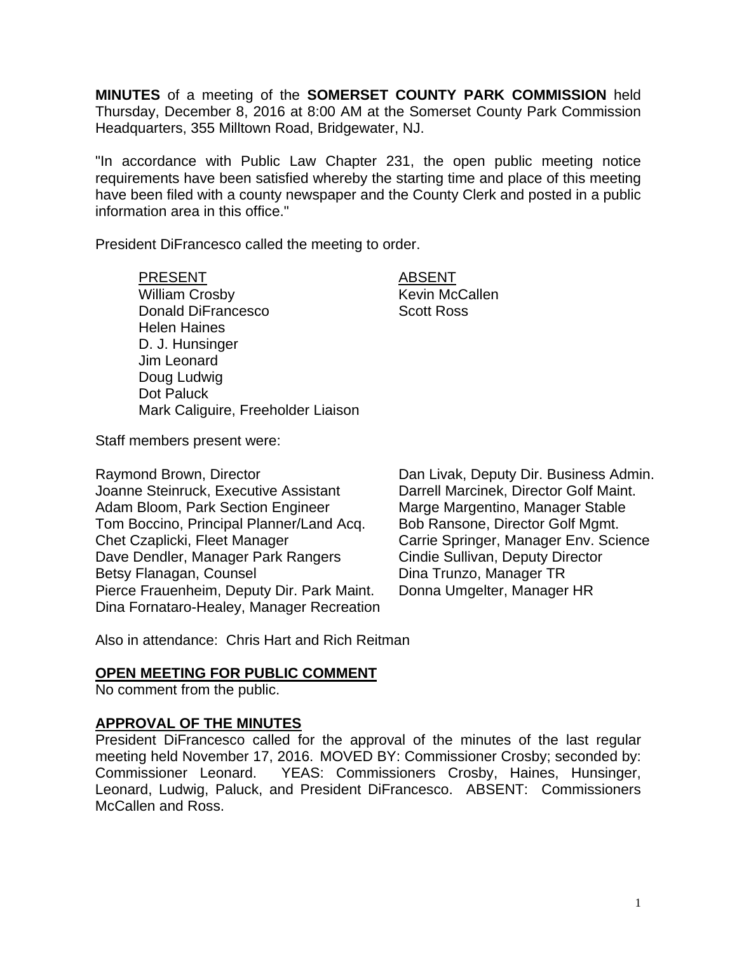**MINUTES** of a meeting of the **SOMERSET COUNTY PARK COMMISSION** held Thursday, December 8, 2016 at 8:00 AM at the Somerset County Park Commission Headquarters, 355 Milltown Road, Bridgewater, NJ.

"In accordance with Public Law Chapter 231, the open public meeting notice requirements have been satisfied whereby the starting time and place of this meeting have been filed with a county newspaper and the County Clerk and posted in a public information area in this office."

President DiFrancesco called the meeting to order.

PRESENT ABSENT William Crosby **Kevin McCallen** Donald DiFrancesco Scott Ross Helen Haines D. J. Hunsinger Jim Leonard Doug Ludwig Dot Paluck Mark Caliguire, Freeholder Liaison

Staff members present were:

Raymond Brown, Director **Dan Livak, Deputy Dir. Business Admin.** Joanne Steinruck, Executive Assistant Darrell Marcinek, Director Golf Maint. Adam Bloom, Park Section Engineer Marge Margentino, Manager Stable<br>Tom Boccino, Principal Planner/Land Acq. Bob Ransone, Director Golf Mgmt. Tom Boccino, Principal Planner/Land Acq.<br>Chet Czaplicki, Fleet Manager Dave Dendler, Manager Park Rangers Cindie Sullivan, Deputy Director Betsy Flanagan, Counsel **Dina Trunzo**, Manager TR Pierce Frauenheim, Deputy Dir. Park Maint. Donna Umgelter, Manager HR Dina Fornataro-Healey, Manager Recreation

Carrie Springer, Manager Env. Science

Also in attendance: Chris Hart and Rich Reitman

## **OPEN MEETING FOR PUBLIC COMMENT**

No comment from the public.

## **APPROVAL OF THE MINUTES**

President DiFrancesco called for the approval of the minutes of the last regular meeting held November 17, 2016. MOVED BY: Commissioner Crosby; seconded by: Commissioner Leonard. YEAS: Commissioners Crosby, Haines, Hunsinger, Leonard, Ludwig, Paluck, and President DiFrancesco. ABSENT: Commissioners McCallen and Ross.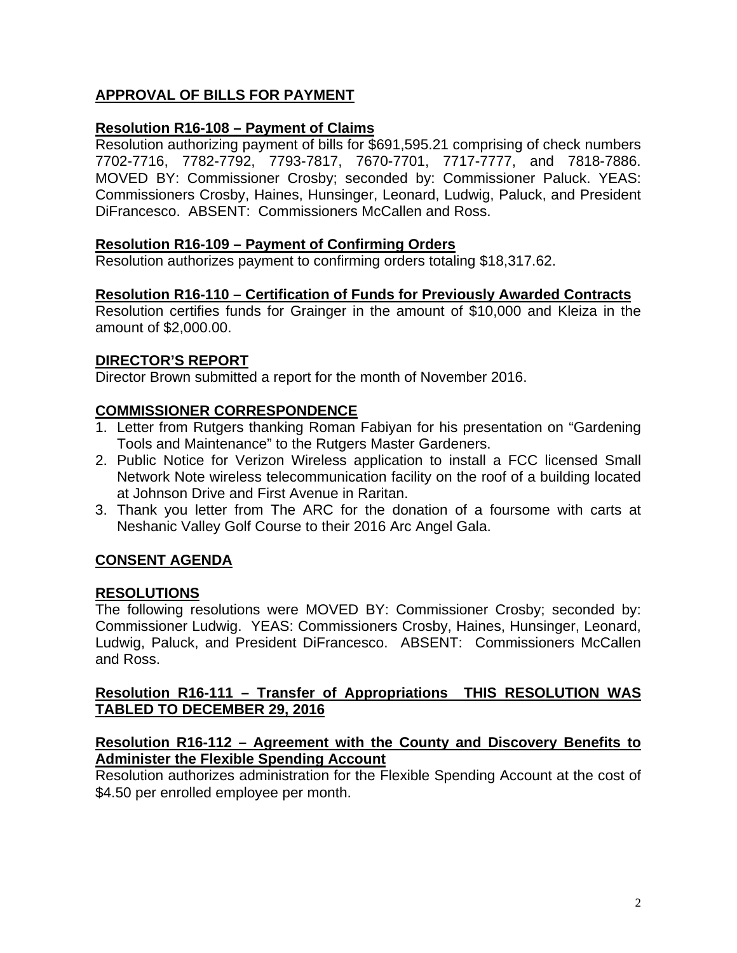# **APPROVAL OF BILLS FOR PAYMENT**

# **Resolution R16-108 – Payment of Claims**

Resolution authorizing payment of bills for \$691,595.21 comprising of check numbers 7702-7716, 7782-7792, 7793-7817, 7670-7701, 7717-7777, and 7818-7886. MOVED BY: Commissioner Crosby; seconded by: Commissioner Paluck. YEAS: Commissioners Crosby, Haines, Hunsinger, Leonard, Ludwig, Paluck, and President DiFrancesco. ABSENT: Commissioners McCallen and Ross.

## **Resolution R16-109 – Payment of Confirming Orders**

Resolution authorizes payment to confirming orders totaling \$18,317.62.

# **Resolution R16-110 – Certification of Funds for Previously Awarded Contracts**

Resolution certifies funds for Grainger in the amount of \$10,000 and Kleiza in the amount of \$2,000.00.

# **DIRECTOR'S REPORT**

Director Brown submitted a report for the month of November 2016.

# **COMMISSIONER CORRESPONDENCE**

- 1. Letter from Rutgers thanking Roman Fabiyan for his presentation on "Gardening Tools and Maintenance" to the Rutgers Master Gardeners.
- 2. Public Notice for Verizon Wireless application to install a FCC licensed Small Network Note wireless telecommunication facility on the roof of a building located at Johnson Drive and First Avenue in Raritan.
- 3. Thank you letter from The ARC for the donation of a foursome with carts at Neshanic Valley Golf Course to their 2016 Arc Angel Gala.

# **CONSENT AGENDA**

## **RESOLUTIONS**

The following resolutions were MOVED BY: Commissioner Crosby; seconded by: Commissioner Ludwig. YEAS: Commissioners Crosby, Haines, Hunsinger, Leonard, Ludwig, Paluck, and President DiFrancesco. ABSENT: Commissioners McCallen and Ross.

## **Resolution R16-111 – Transfer of Appropriations THIS RESOLUTION WAS TABLED TO DECEMBER 29, 2016**

#### **Resolution R16-112 – Agreement with the County and Discovery Benefits to Administer the Flexible Spending Account**

Resolution authorizes administration for the Flexible Spending Account at the cost of \$4.50 per enrolled employee per month.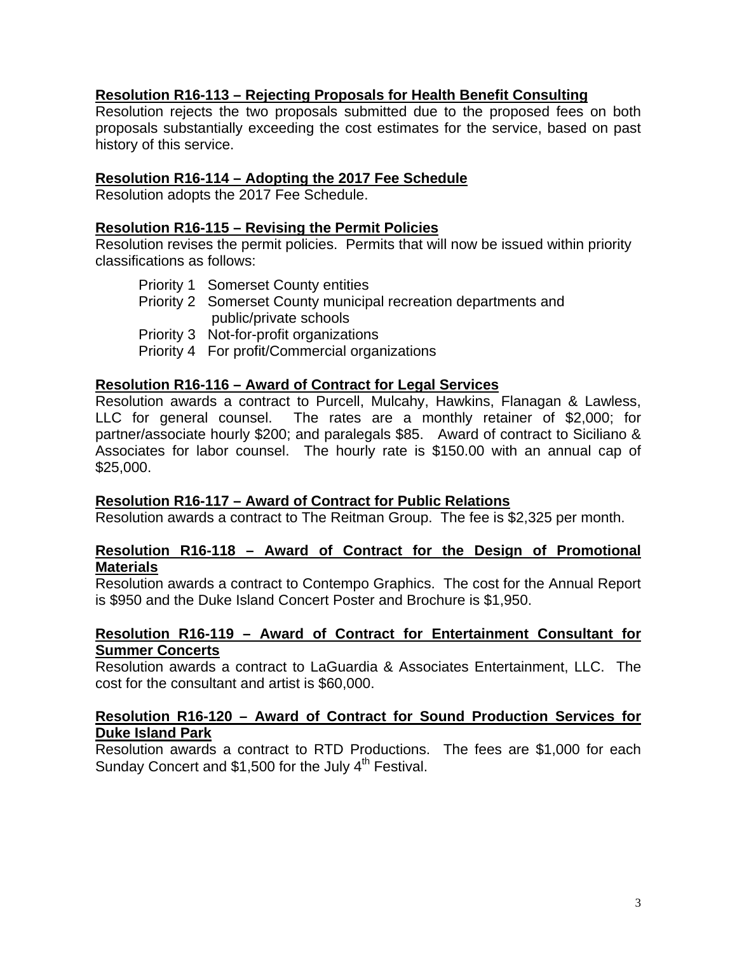# **Resolution R16-113 – Rejecting Proposals for Health Benefit Consulting**

Resolution rejects the two proposals submitted due to the proposed fees on both proposals substantially exceeding the cost estimates for the service, based on past history of this service.

#### **Resolution R16-114 – Adopting the 2017 Fee Schedule**

Resolution adopts the 2017 Fee Schedule.

#### **Resolution R16-115 – Revising the Permit Policies**

Resolution revises the permit policies. Permits that will now be issued within priority classifications as follows:

- Priority 1 Somerset County entities
- Priority 2 Somerset County municipal recreation departments and public/private schools
- Priority 3 Not-for-profit organizations
- Priority 4 For profit/Commercial organizations

#### **Resolution R16-116 – Award of Contract for Legal Services**

Resolution awards a contract to Purcell, Mulcahy, Hawkins, Flanagan & Lawless, LLC for general counsel. The rates are a monthly retainer of \$2,000; for partner/associate hourly \$200; and paralegals \$85. Award of contract to Siciliano & Associates for labor counsel. The hourly rate is \$150.00 with an annual cap of \$25,000.

#### **Resolution R16-117 – Award of Contract for Public Relations**

Resolution awards a contract to The Reitman Group. The fee is \$2,325 per month.

#### **Resolution R16-118 – Award of Contract for the Design of Promotional Materials**

Resolution awards a contract to Contempo Graphics. The cost for the Annual Report is \$950 and the Duke Island Concert Poster and Brochure is \$1,950.

## **Resolution R16-119 – Award of Contract for Entertainment Consultant for Summer Concerts**

Resolution awards a contract to LaGuardia & Associates Entertainment, LLC. The cost for the consultant and artist is \$60,000.

#### **Resolution R16-120 – Award of Contract for Sound Production Services for Duke Island Park**

Resolution awards a contract to RTD Productions. The fees are \$1,000 for each Sunday Concert and  $$1,500$  for the July  $4<sup>th</sup>$  Festival.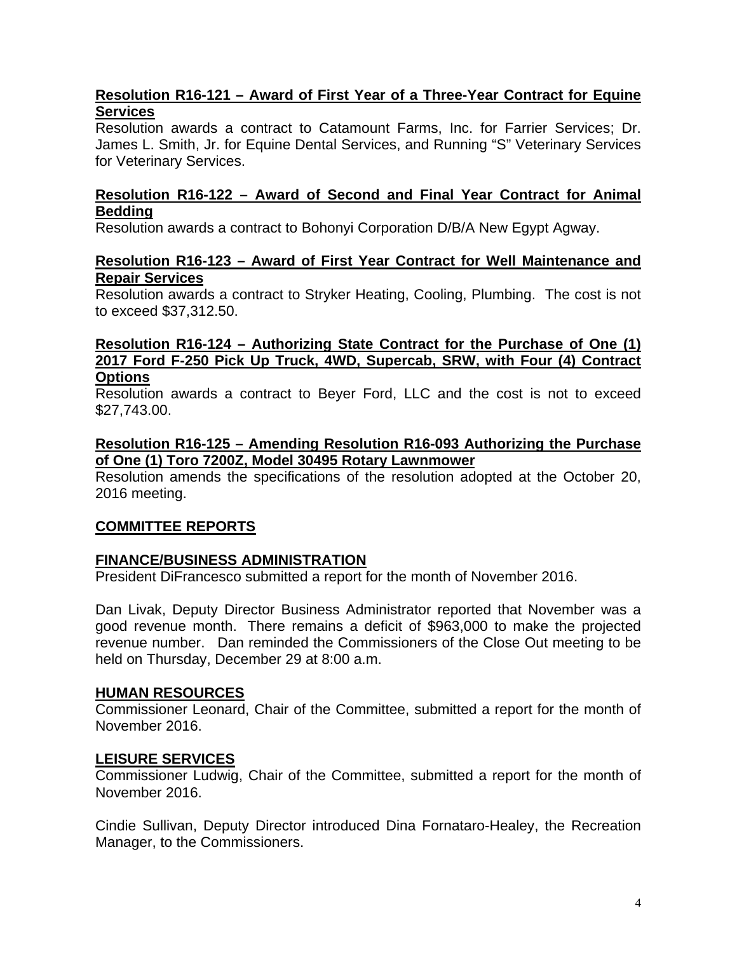# **Resolution R16-121 – Award of First Year of a Three-Year Contract for Equine Services**

Resolution awards a contract to Catamount Farms, Inc. for Farrier Services; Dr. James L. Smith, Jr. for Equine Dental Services, and Running "S" Veterinary Services for Veterinary Services.

## **Resolution R16-122 – Award of Second and Final Year Contract for Animal Bedding**

Resolution awards a contract to Bohonyi Corporation D/B/A New Egypt Agway.

## **Resolution R16-123 – Award of First Year Contract for Well Maintenance and Repair Services**

Resolution awards a contract to Stryker Heating, Cooling, Plumbing. The cost is not to exceed \$37,312.50.

#### **Resolution R16-124 – Authorizing State Contract for the Purchase of One (1) 2017 Ford F-250 Pick Up Truck, 4WD, Supercab, SRW, with Four (4) Contract Options**

Resolution awards a contract to Beyer Ford, LLC and the cost is not to exceed \$27,743.00.

## **Resolution R16-125 – Amending Resolution R16-093 Authorizing the Purchase of One (1) Toro 7200Z, Model 30495 Rotary Lawnmower**

Resolution amends the specifications of the resolution adopted at the October 20, 2016 meeting.

# **COMMITTEE REPORTS**

# **FINANCE/BUSINESS ADMINISTRATION**

President DiFrancesco submitted a report for the month of November 2016.

Dan Livak, Deputy Director Business Administrator reported that November was a good revenue month. There remains a deficit of \$963,000 to make the projected revenue number. Dan reminded the Commissioners of the Close Out meeting to be held on Thursday, December 29 at 8:00 a.m.

## **HUMAN RESOURCES**

Commissioner Leonard, Chair of the Committee, submitted a report for the month of November 2016.

# **LEISURE SERVICES**

Commissioner Ludwig, Chair of the Committee, submitted a report for the month of November 2016.

Cindie Sullivan, Deputy Director introduced Dina Fornataro-Healey, the Recreation Manager, to the Commissioners.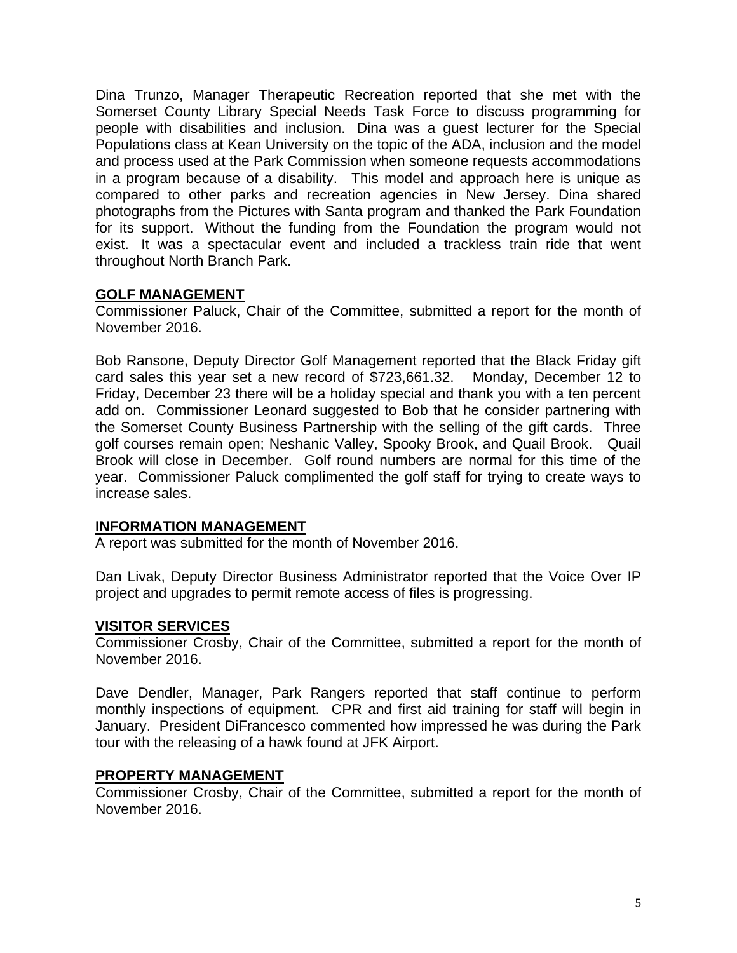Dina Trunzo, Manager Therapeutic Recreation reported that she met with the Somerset County Library Special Needs Task Force to discuss programming for people with disabilities and inclusion. Dina was a guest lecturer for the Special Populations class at Kean University on the topic of the ADA, inclusion and the model and process used at the Park Commission when someone requests accommodations in a program because of a disability. This model and approach here is unique as compared to other parks and recreation agencies in New Jersey. Dina shared photographs from the Pictures with Santa program and thanked the Park Foundation for its support. Without the funding from the Foundation the program would not exist. It was a spectacular event and included a trackless train ride that went throughout North Branch Park.

# **GOLF MANAGEMENT**

Commissioner Paluck, Chair of the Committee, submitted a report for the month of November 2016.

Bob Ransone, Deputy Director Golf Management reported that the Black Friday gift card sales this year set a new record of \$723,661.32. Monday, December 12 to Friday, December 23 there will be a holiday special and thank you with a ten percent add on. Commissioner Leonard suggested to Bob that he consider partnering with the Somerset County Business Partnership with the selling of the gift cards. Three golf courses remain open; Neshanic Valley, Spooky Brook, and Quail Brook. Quail Brook will close in December. Golf round numbers are normal for this time of the year. Commissioner Paluck complimented the golf staff for trying to create ways to increase sales.

## **INFORMATION MANAGEMENT**

A report was submitted for the month of November 2016.

Dan Livak, Deputy Director Business Administrator reported that the Voice Over IP project and upgrades to permit remote access of files is progressing.

## **VISITOR SERVICES**

Commissioner Crosby, Chair of the Committee, submitted a report for the month of November 2016.

Dave Dendler, Manager, Park Rangers reported that staff continue to perform monthly inspections of equipment. CPR and first aid training for staff will begin in January. President DiFrancesco commented how impressed he was during the Park tour with the releasing of a hawk found at JFK Airport.

## **PROPERTY MANAGEMENT**

Commissioner Crosby, Chair of the Committee, submitted a report for the month of November 2016.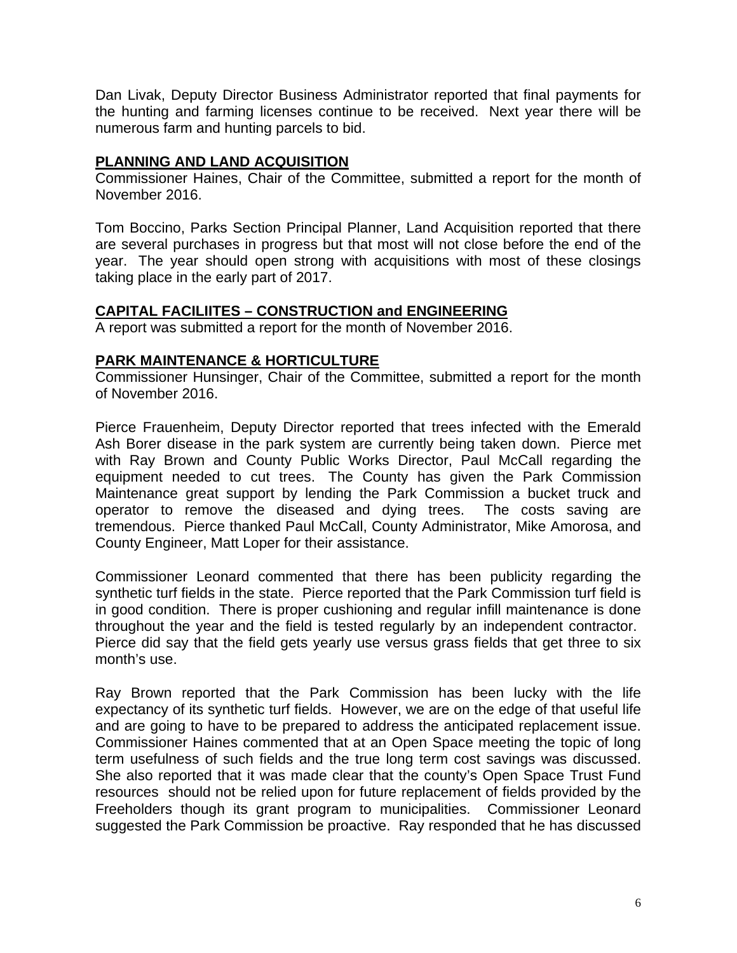Dan Livak, Deputy Director Business Administrator reported that final payments for the hunting and farming licenses continue to be received. Next year there will be numerous farm and hunting parcels to bid.

# **PLANNING AND LAND ACQUISITION**

Commissioner Haines, Chair of the Committee, submitted a report for the month of November 2016.

Tom Boccino, Parks Section Principal Planner, Land Acquisition reported that there are several purchases in progress but that most will not close before the end of the year. The year should open strong with acquisitions with most of these closings taking place in the early part of 2017.

# **CAPITAL FACILIITES – CONSTRUCTION and ENGINEERING**

A report was submitted a report for the month of November 2016.

# **PARK MAINTENANCE & HORTICULTURE**

Commissioner Hunsinger, Chair of the Committee, submitted a report for the month of November 2016.

Pierce Frauenheim, Deputy Director reported that trees infected with the Emerald Ash Borer disease in the park system are currently being taken down. Pierce met with Ray Brown and County Public Works Director, Paul McCall regarding the equipment needed to cut trees. The County has given the Park Commission Maintenance great support by lending the Park Commission a bucket truck and operator to remove the diseased and dying trees. The costs saving are tremendous. Pierce thanked Paul McCall, County Administrator, Mike Amorosa, and County Engineer, Matt Loper for their assistance.

Commissioner Leonard commented that there has been publicity regarding the synthetic turf fields in the state. Pierce reported that the Park Commission turf field is in good condition. There is proper cushioning and regular infill maintenance is done throughout the year and the field is tested regularly by an independent contractor. Pierce did say that the field gets yearly use versus grass fields that get three to six month's use.

Ray Brown reported that the Park Commission has been lucky with the life expectancy of its synthetic turf fields. However, we are on the edge of that useful life and are going to have to be prepared to address the anticipated replacement issue. Commissioner Haines commented that at an Open Space meeting the topic of long term usefulness of such fields and the true long term cost savings was discussed. She also reported that it was made clear that the county's Open Space Trust Fund resources should not be relied upon for future replacement of fields provided by the Freeholders though its grant program to municipalities. Commissioner Leonard suggested the Park Commission be proactive. Ray responded that he has discussed